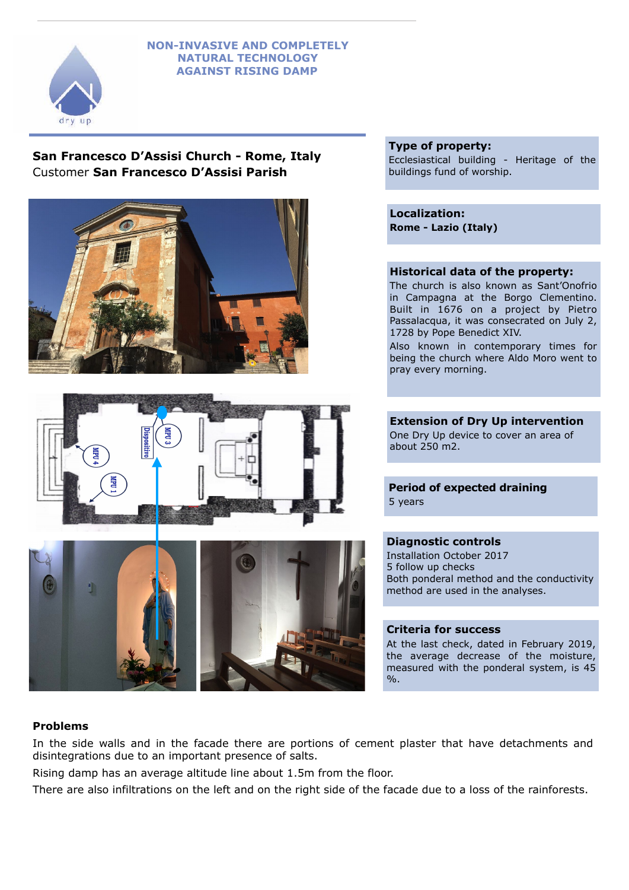### **NON-INVASIVE AND COMPLETELY NATURAL TECHNOLOGY AGAINST RISING DAMP**



**San Francesco D'Assisi Church - Rome, Italy**  Customer **San Francesco D'Assisi Parish**







### **Type of property:**

Ecclesiastical building - Heritage of the buildings fund of worship.

**Localization: Rome - Lazio (Italy)**

# **Historical data of the property:**

The church is also known as Sant'Onofrio in Campagna at the Borgo Clementino. Built in 1676 on a project by Pietro Passalacqua, it was consecrated on July 2, 1728 by Pope Benedict XIV.

Also known in contemporary times for being the church where Aldo Moro went to pray every morning.

**Extension of Dry Up intervention**  One Dry Up device to cover an area of about 250 m2.

# **Period of expected draining**  5 years

### **Diagnostic controls**

Installation October 2017 5 follow up checks Both ponderal method and the conductivity method are used in the analyses.

### **Criteria for success**

At the last check, dated in February 2019, the average decrease of the moisture, measured with the ponderal system, is 45 %.

# **Problems**

In the side walls and in the facade there are portions of cement plaster that have detachments and disintegrations due to an important presence of salts.

Rising damp has an average altitude line about 1.5m from the floor.

There are also infiltrations on the left and on the right side of the facade due to a loss of the rainforests.